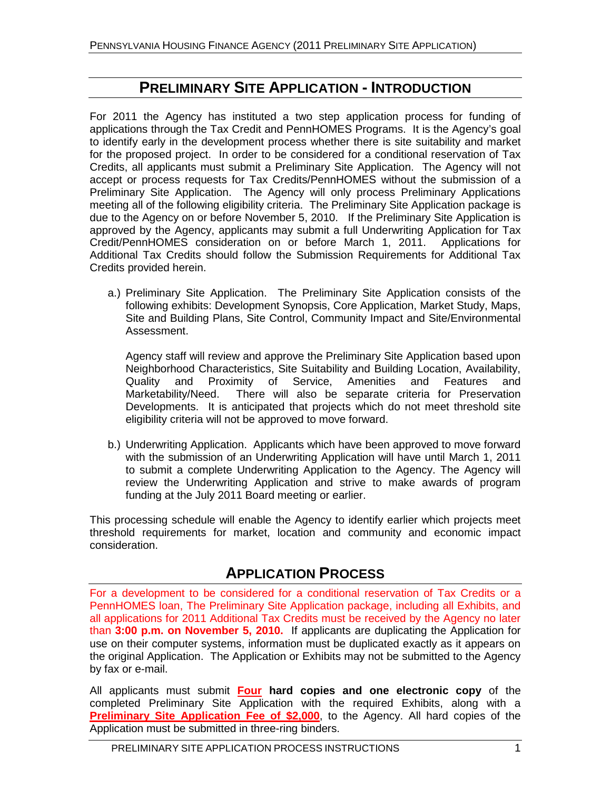## **PRELIMINARY SITE APPLICATION - INTRODUCTION**

For 2011 the Agency has instituted a two step application process for funding of applications through the Tax Credit and PennHOMES Programs. It is the Agency's goal to identify early in the development process whether there is site suitability and market for the proposed project. In order to be considered for a conditional reservation of Tax Credits, all applicants must submit a Preliminary Site Application. The Agency will not accept or process requests for Tax Credits/PennHOMES without the submission of a Preliminary Site Application. The Agency will only process Preliminary Applications meeting all of the following eligibility criteria. The Preliminary Site Application package is due to the Agency on or before November 5, 2010. If the Preliminary Site Application is approved by the Agency, applicants may submit a full Underwriting Application for Tax Credit/PennHOMES consideration on or before March 1, 2011. Applications for Additional Tax Credits should follow the Submission Requirements for Additional Tax Credits provided herein.

a.) Preliminary Site Application. The Preliminary Site Application consists of the following exhibits: Development Synopsis, Core Application, Market Study, Maps, Site and Building Plans, Site Control, Community Impact and Site/Environmental Assessment.

Agency staff will review and approve the Preliminary Site Application based upon Neighborhood Characteristics, Site Suitability and Building Location, Availability, Quality and Proximity of Service, Amenities and Features and Marketability/Need. There will also be separate criteria for Preservation Developments. It is anticipated that projects which do not meet threshold site eligibility criteria will not be approved to move forward.

b.) Underwriting Application. Applicants which have been approved to move forward with the submission of an Underwriting Application will have until March 1, 2011 to submit a complete Underwriting Application to the Agency. The Agency will review the Underwriting Application and strive to make awards of program funding at the July 2011 Board meeting or earlier.

This processing schedule will enable the Agency to identify earlier which projects meet threshold requirements for market, location and community and economic impact consideration.

## **APPLICATION PROCESS**

For a development to be considered for a conditional reservation of Tax Credits or a PennHOMES loan, The Preliminary Site Application package, including all Exhibits, and all applications for 2011 Additional Tax Credits must be received by the Agency no later than **3:00 p.m. on November 5, 2010.** If applicants are duplicating the Application for use on their computer systems, information must be duplicated exactly as it appears on the original Application. The Application or Exhibits may not be submitted to the Agency by fax or e-mail.

All applicants must submit **Four hard copies and one electronic copy** of the completed Preliminary Site Application with the required Exhibits, along with a **Preliminary Site Application Fee of \$2,000**, to the Agency. All hard copies of the Application must be submitted in three-ring binders.